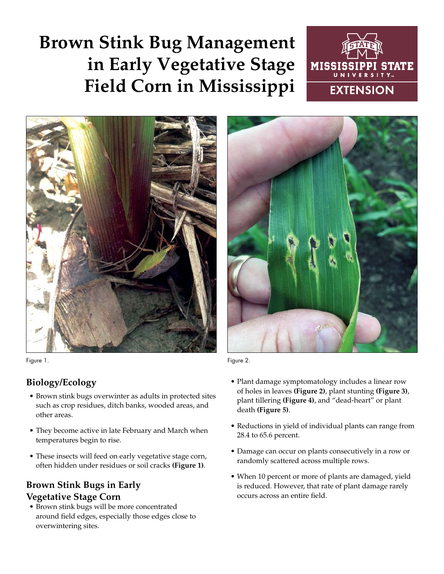# **Brown Stink Bug Management in Early Vegetative Stage Field Corn in Mississippi**





Figure 1. The contract of the contract of the contract of the contract of the contract of the contract of the contract of the contract of the contract of the contract of the contract of the contract of the contract of the

### **Biology/Ecology**

- Brown stink bugs overwinter as adults in protected sites such as crop residues, ditch banks, wooded areas, and other areas.
- They become active in late February and March when temperatures begin to rise.
- These insects will feed on early vegetative stage corn, often hidden under residues or soil cracks **(Figure 1)**.

## **Brown Stink Bugs in Early Vegetative Stage Corn**

• Brown stink bugs will be more concentrated around field edges, especially those edges close to overwintering sites.



- Plant damage symptomatology includes a linear row of holes in leaves **(Figure 2)**, plant stunting **(Figure 3)**, plant tillering **(Figure 4)**, and "dead-heart" or plant death **(Figure 5)**.
- Reductions in yield of individual plants can range from 28.4 to 65.6 percent.
- Damage can occur on plants consecutively in a row or randomly scattered across multiple rows.
- When 10 percent or more of plants are damaged, yield is reduced. However, that rate of plant damage rarely occurs across an entire field.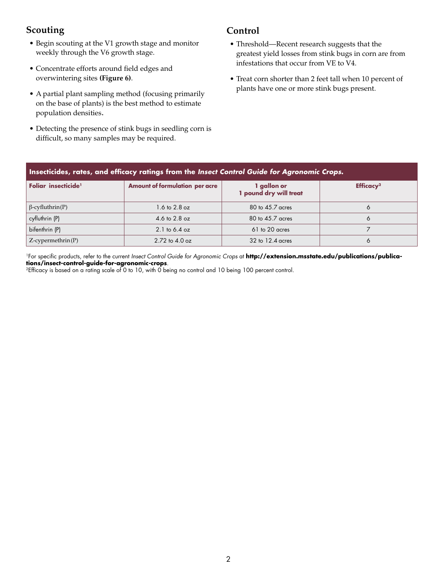### **Scouting**

- Begin scouting at the V1 growth stage and monitor weekly through the V6 growth stage.
- Concentrate efforts around field edges and overwintering sites **(Figure 6)**.
- A partial plant sampling method (focusing primarily on the base of plants) is the best method to estimate population densities.
- Detecting the presence of stink bugs in seedling corn is difficult, so many samples may be required.

### **Control**

- Threshold—Recent research suggests that the greatest yield losses from stink bugs in corn are from infestations that occur from VE to V4.
- Treat corn shorter than 2 feet tall when 10 percent of plants have one or more stink bugs present.

| Insecticides, rates, and efficacy ratings from the Insect Control Guide for Agronomic Crops. |                                       |                                       |                       |
|----------------------------------------------------------------------------------------------|---------------------------------------|---------------------------------------|-----------------------|
| Foliar insecticide <sup>1</sup>                                                              | <b>Amount of formulation per acre</b> | 1 gallon or<br>1 pound dry will treat | Efficacy <sup>2</sup> |
| $\beta$ -cyfluthrin(P)                                                                       | $1.6$ to $2.8$ oz                     | 80 to 45.7 acres                      | Ô                     |
| cyfluthrin (P)                                                                               | 4.6 to 2.8 oz                         | 80 to 45.7 acres                      | 6                     |
| bifenthrin (P)                                                                               | 2.1 to 6.4 oz                         | 61 to 20 acres                        |                       |
| $Z$ -cypermethrin $(P)$                                                                      | $2.72$ to $4.0$ oz                    | $32$ to $12.4$ acres                  | 6                     |

<sup>1</sup>For specific products, refer to the current *Insect Control Guide for Agronomic Crops* at **http://extension.msstate.edu/publications/publications/insect-control-guide-for-agronomic-crops**.

2Efficacy is based on a rating scale of 0 to 10, with 0 being no control and 10 being 100 percent control.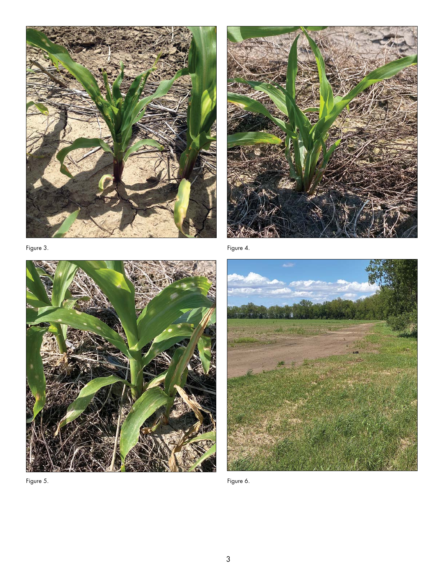



Figure 4.



Figure 6.

Figure 5.